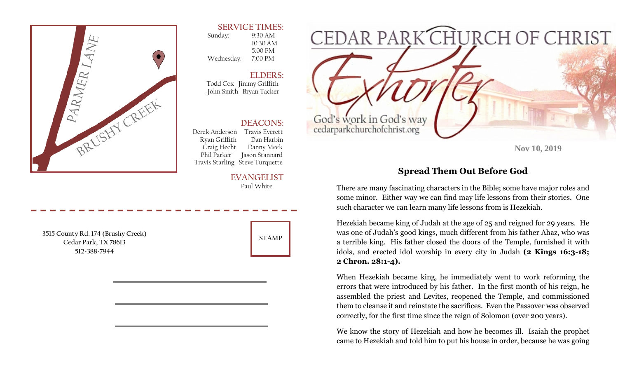

### **SERVICE TIMES:**

 Sunday: 9:30 AM 10:30 AM 5:00 PM Wednesday: 7:00 PM

**ELDERS:**  Todd Cox Jimmy Griffith John Smith Bryan Tacker

### **DEACONS:**

 Derek Anderson Travis Everett Ryan Griffith Dan Harbin Craig Hecht Danny Meek Phil Parker Jason Stannard Travis Starling Steve Turquette

#### **EVANGELIST** Paul White

**3515 County Rd. 174 (Brushy Creek) Cedar Park, TX 78613 512-388-7944** 



**Nov 10, 2019** 

# **Spread Them Out Before God**

There are many fascinating characters in the Bible; some have major roles and some minor. Either way we can find may life lessons from their stories. One such character we can learn many life lessons from is Hezekiah.

Hezekiah became king of Judah at the age of 25 and reigned for 29 years. He was one of Judah's good kings, much different from his father Ahaz, who was a terrible king. His father closed the doors of the Temple, furnished it with idols, and erected idol worship in every city in Judah **(2 Kings 16:3-18; 2 Chron. 28:1-4).** 

When Hezekiah became king, he immediately went to work reforming the errors that were introduced by his father. In the first month of his reign, he assembled the priest and Levites, reopened the Temple, and commissioned them to cleanse it and reinstate the sacrifices. Even the Passover was observed correctly, for the first time since the reign of Solomon (over 200 years).

We know the story of Hezekiah and how he becomes ill. Isaiah the prophet came to Hezekiah and told him to put his house in order, because he was going